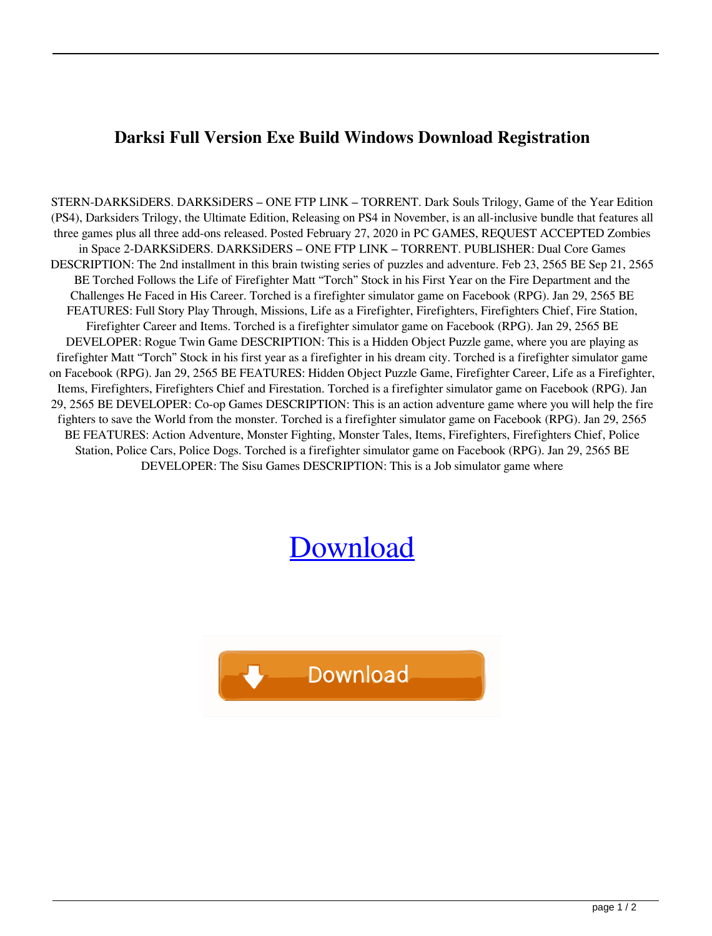## **Darksi Full Version Exe Build Windows Download Registration**

STERN-DARKSiDERS. DARKSiDERS – ONE FTP LINK – TORRENT. Dark Souls Trilogy, Game of the Year Edition (PS4), Darksiders Trilogy, the Ultimate Edition, Releasing on PS4 in November, is an all-inclusive bundle that features all three games plus all three add-ons released. Posted February 27, 2020 in PC GAMES, REQUEST ACCEPTED Zombies in Space 2-DARKSiDERS. DARKSiDERS – ONE FTP LINK – TORRENT. PUBLISHER: Dual Core Games DESCRIPTION: The 2nd installment in this brain twisting series of puzzles and adventure. Feb 23, 2565 BE Sep 21, 2565 BE Torched Follows the Life of Firefighter Matt "Torch" Stock in his First Year on the Fire Department and the Challenges He Faced in His Career. Torched is a firefighter simulator game on Facebook (RPG). Jan 29, 2565 BE FEATURES: Full Story Play Through, Missions, Life as a Firefighter, Firefighters, Firefighters Chief, Fire Station, Firefighter Career and Items. Torched is a firefighter simulator game on Facebook (RPG). Jan 29, 2565 BE DEVELOPER: Rogue Twin Game DESCRIPTION: This is a Hidden Object Puzzle game, where you are playing as firefighter Matt "Torch" Stock in his first year as a firefighter in his dream city. Torched is a firefighter simulator game on Facebook (RPG). Jan 29, 2565 BE FEATURES: Hidden Object Puzzle Game, Firefighter Career, Life as a Firefighter, Items, Firefighters, Firefighters Chief and Firestation. Torched is a firefighter simulator game on Facebook (RPG). Jan 29, 2565 BE DEVELOPER: Co-op Games DESCRIPTION: This is an action adventure game where you will help the fire fighters to save the World from the monster. Torched is a firefighter simulator game on Facebook (RPG). Jan 29, 2565 BE FEATURES: Action Adventure, Monster Fighting, Monster Tales, Items, Firefighters, Firefighters Chief, Police Station, Police Cars, Police Dogs. Torched is a firefighter simulator game on Facebook (RPG). Jan 29, 2565 BE DEVELOPER: The Sisu Games DESCRIPTION: This is a Job simulator game where

## [Download](http://evacdir.com/RGFya3NpZGVycyAtIENyYWNrICggU0tJRFJPVyApRGF?flamenco=/ZG93bmxvYWR8SFMxYTJodGZId3hOalV5TnpRd09EWTJmSHd5TlRjMGZId29UU2tnY21WaFpDMWliRzluSUZ0R1lYTjBJRWRGVGww/boulders&consign=herded&movingscam=pubol)